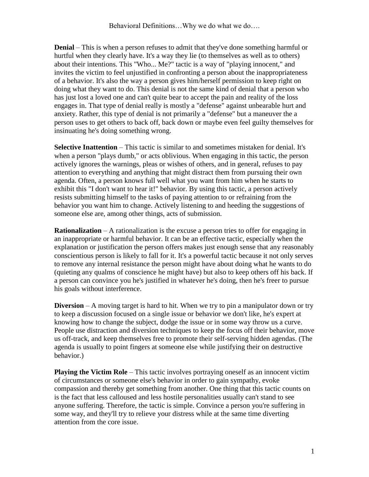**Denial** – This is when a person refuses to admit that they've done something harmful or hurtful when they clearly have. It's a way they lie (to themselves as well as to others) about their intentions. This "Who... Me?" tactic is a way of "playing innocent," and invites the victim to feel unjustified in confronting a person about the inappropriateness of a behavior. It's also the way a person gives him/herself permission to keep right on doing what they want to do. This denial is not the same kind of denial that a person who has just lost a loved one and can't quite bear to accept the pain and reality of the loss engages in. That type of denial really is mostly a "defense" against unbearable hurt and anxiety. Rather, this type of denial is not primarily a "defense" but a maneuver the a person uses to get others to back off, back down or maybe even feel guilty themselves for insinuating he's doing something wrong.

**Selective Inattention** – This tactic is similar to and sometimes mistaken for denial. It's when a person "plays dumb," or acts oblivious. When engaging in this tactic, the person actively ignores the warnings, pleas or wishes of others, and in general, refuses to pay attention to everything and anything that might distract them from pursuing their own agenda. Often, a person knows full well what you want from him when he starts to exhibit this "I don't want to hear it!" behavior. By using this tactic, a person actively resists submitting himself to the tasks of paying attention to or refraining from the behavior you want him to change. Actively listening to and heeding the suggestions of someone else are, among other things, acts of submission.

**Rationalization** – A rationalization is the excuse a person tries to offer for engaging in an inappropriate or harmful behavior. It can be an effective tactic, especially when the explanation or justification the person offers makes just enough sense that any reasonably conscientious person is likely to fall for it. It's a powerful tactic because it not only serves to remove any internal resistance the person might have about doing what he wants to do (quieting any qualms of conscience he might have) but also to keep others off his back. If a person can convince you he's justified in whatever he's doing, then he's freer to pursue his goals without interference.

**Diversion** – A moving target is hard to hit. When we try to pin a manipulator down or try to keep a discussion focused on a single issue or behavior we don't like, he's expert at knowing how to change the subject, dodge the issue or in some way throw us a curve. People use distraction and diversion techniques to keep the focus off their behavior, move us off-track, and keep themselves free to promote their self-serving hidden agendas. (The agenda is usually to point fingers at someone else while justifying their on destructive behavior.)

**Playing the Victim Role** – This tactic involves portraying oneself as an innocent victim of circumstances or someone else's behavior in order to gain sympathy, evoke compassion and thereby get something from another. One thing that this tactic counts on is the fact that less calloused and less hostile personalities usually can't stand to see anyone suffering. Therefore, the tactic is simple. Convince a person you're suffering in some way, and they'll try to relieve your distress while at the same time diverting attention from the core issue.